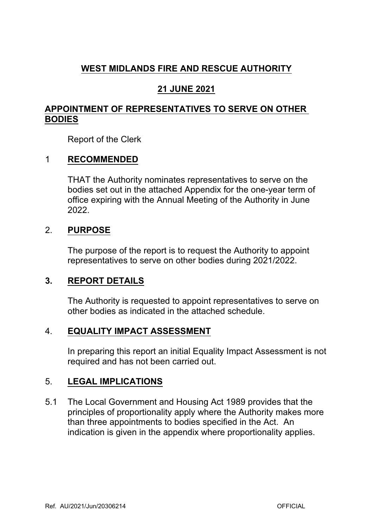# **WEST MIDLANDS FIRE AND RESCUE AUTHORITY**

## **21 JUNE 2021**

## **APPOINTMENT OF REPRESENTATIVES TO SERVE ON OTHER BODIES**

Report of the Clerk

## 1 **RECOMMENDED**

THAT the Authority nominates representatives to serve on the bodies set out in the attached Appendix for the one-year term of office expiring with the Annual Meeting of the Authority in June 2022.

### 2. **PURPOSE**

The purpose of the report is to request the Authority to appoint representatives to serve on other bodies during 2021/2022.

### **3. REPORT DETAILS**

The Authority is requested to appoint representatives to serve on other bodies as indicated in the attached schedule.

#### 4. **EQUALITY IMPACT ASSESSMENT**

In preparing this report an initial Equality Impact Assessment is not required and has not been carried out.

### 5. **LEGAL IMPLICATIONS**

5.1 The Local Government and Housing Act 1989 provides that the principles of proportionality apply where the Authority makes more than three appointments to bodies specified in the Act. An indication is given in the appendix where proportionality applies.